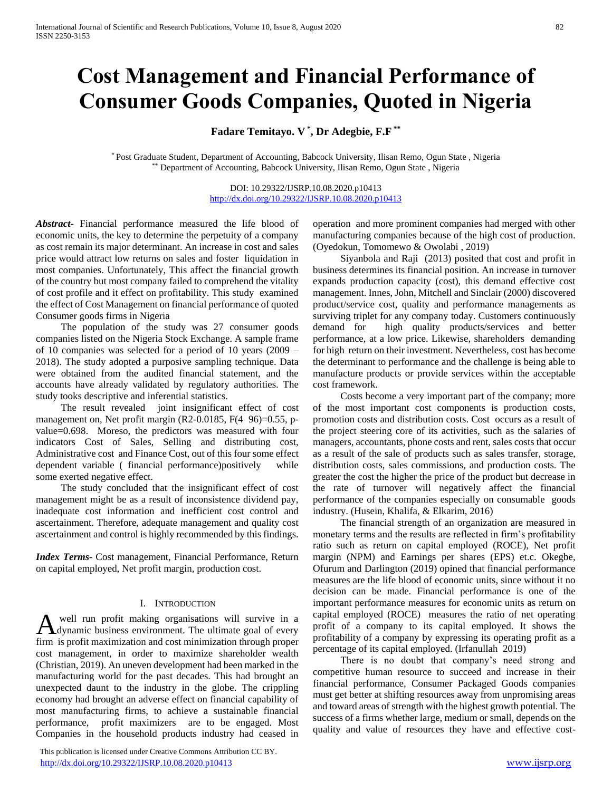# **Cost Management and Financial Performance of Consumer Goods Companies, Quoted in Nigeria**

**Fadare Temitayo. V \* , Dr Adegbie, F.F \*\***

\* Post Graduate Student, Department of Accounting, Babcock University, Ilisan Remo, Ogun State , Nigeria \*\* Department of Accounting, Babcock University, Ilisan Remo, Ogun State , Nigeria

> DOI: 10.29322/IJSRP.10.08.2020.p10413 <http://dx.doi.org/10.29322/IJSRP.10.08.2020.p10413>

*Abstract***-** Financial performance measured the life blood of economic units, the key to determine the perpetuity of a company as cost remain its major determinant. An increase in cost and sales price would attract low returns on sales and foster liquidation in most companies. Unfortunately, This affect the financial growth of the country but most company failed to comprehend the vitality of cost profile and it effect on profitability. This study examined the effect of Cost Management on financial performance of quoted Consumer goods firms in Nigeria

 The population of the study was 27 consumer goods companies listed on the Nigeria Stock Exchange. A sample frame of 10 companies was selected for a period of 10 years (2009 – 2018). The study adopted a purposive sampling technique. Data were obtained from the audited financial statement, and the accounts have already validated by regulatory authorities. The study tooks descriptive and inferential statistics.

 The result revealed joint insignificant effect of cost management on, Net profit margin (R2-0.0185, F(4 96)=0.55, pvalue=0.698. Moreso, the predictors was measured with four indicators Cost of Sales, Selling and distributing cost, Administrative cost and Finance Cost, out of this four some effect dependent variable ( financial performance)positively while some exerted negative effect.

 The study concluded that the insignificant effect of cost management might be as a result of inconsistence dividend pay, inadequate cost information and inefficient cost control and ascertainment. Therefore, adequate management and quality cost ascertainment and control is highly recommended by this findings.

*Index Terms*- Cost management, Financial Performance, Return on capital employed, Net profit margin, production cost.

#### I. INTRODUCTION

well run profit making organisations will survive in a A well run profit making organisations will survive in a dynamic business environment. The ultimate goal of every firm is profit maximization and cost minimization through proper cost management, in order to maximize shareholder wealth (Christian, 2019). An uneven development had been marked in the manufacturing world for the past decades. This had brought an unexpected daunt to the industry in the globe. The crippling economy had brought an adverse effect on financial capability of most manufacturing firms, to achieve a sustainable financial performance, profit maximizers are to be engaged. Most Companies in the household products industry had ceased in

 This publication is licensed under Creative Commons Attribution CC BY. <http://dx.doi.org/10.29322/IJSRP.10.08.2020.p10413> [www.ijsrp.org](http://ijsrp.org/)

operation and more prominent companies had merged with other manufacturing companies because of the high cost of production. (Oyedokun, Tomomewo & Owolabi , 2019)

 Siyanbola and Raji (2013) posited that cost and profit in business determines its financial position. An increase in turnover expands production capacity (cost), this demand effective cost management. Innes, John, Mitchell and Sinclair (2000) discovered product/service cost, quality and performance managements as surviving triplet for any company today. Customers continuously demand for high quality products/services and better performance, at a low price. Likewise, shareholders demanding for high return on their investment. Nevertheless, cost has become the determinant to performance and the challenge is being able to manufacture products or provide services within the acceptable cost framework.

 Costs become a very important part of the company; more of the most important cost components is production costs, promotion costs and distribution costs. Cost occurs as a result of the project steering core of its activities, such as the salaries of managers, accountants, phone costs and rent, sales costs that occur as a result of the sale of products such as sales transfer, storage, distribution costs, sales commissions, and production costs. The greater the cost the higher the price of the product but decrease in the rate of turnover will negatively affect the financial performance of the companies especially on consumable goods industry. (Husein, Khalifa, & Elkarim, 2016)

 The financial strength of an organization are measured in monetary terms and the results are reflected in firm's profitability ratio such as return on capital employed (ROCE), Net profit margin (NPM) and Earnings per shares (EPS) et.c. Okegbe, Ofurum and Darlington (2019) opined that financial performance measures are the life blood of economic units, since without it no decision can be made. Financial performance is one of the important performance measures for economic units as return on capital employed (ROCE) measures the ratio of net operating profit of a company to its capital employed. It shows the profitability of a company by expressing its operating profit as a percentage of its capital employed. (Irfanullah 2019)

 There is no doubt that company's need strong and competitive human resource to succeed and increase in their financial performance, Consumer Packaged Goods companies must get better at shifting resources away from unpromising areas and toward areas of strength with the highest growth potential. The success of a firms whether large, medium or small, depends on the quality and value of resources they have and effective cost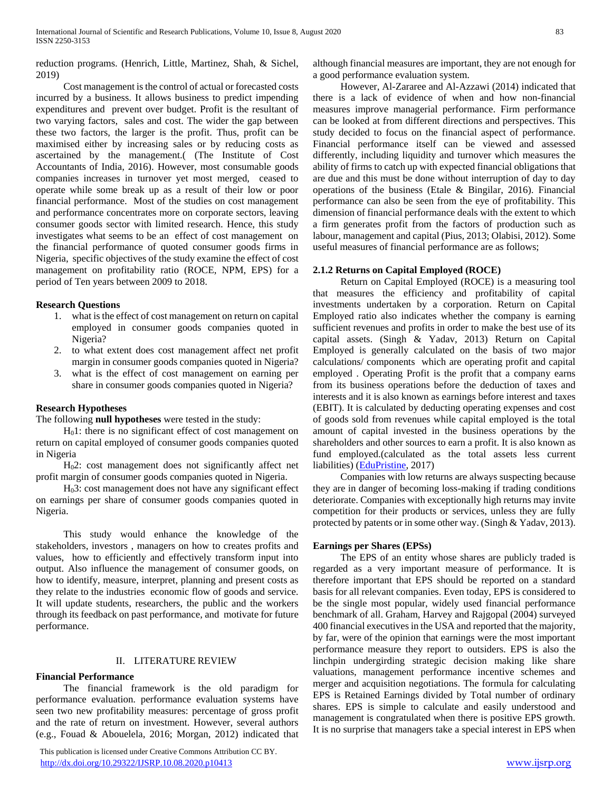reduction programs. (Henrich, Little, Martinez, Shah, & Sichel, 2019)

 Cost management is the control of actual or forecasted costs incurred by a business. It allows business to predict impending expenditures and prevent over budget. Profit is the resultant of two varying factors, sales and cost. The wider the gap between these two factors, the larger is the profit. Thus, profit can be maximised either by increasing sales or by reducing costs as ascertained by the management.( (The Institute of Cost Accountants of India, 2016). However, most consumable goods companies increases in turnover yet most merged, ceased to operate while some break up as a result of their low or poor financial performance. Most of the studies on cost management and performance concentrates more on corporate sectors, leaving consumer goods sector with limited research. Hence, this study investigates what seems to be an effect of cost management on the financial performance of quoted consumer goods firms in Nigeria, specific objectives of the study examine the effect of cost management on profitability ratio (ROCE, NPM, EPS) for a period of Ten years between 2009 to 2018.

#### **Research Questions**

- 1. what is the effect of cost management on return on capital employed in consumer goods companies quoted in Nigeria?
- 2. to what extent does cost management affect net profit margin in consumer goods companies quoted in Nigeria?
- 3. what is the effect of cost management on earning per share in consumer goods companies quoted in Nigeria?

#### **Research Hypotheses**

The following **null hypotheses** were tested in the study:

 $H<sub>0</sub>1$ : there is no significant effect of cost management on return on capital employed of consumer goods companies quoted in Nigeria

 H02: cost management does not significantly affect net profit margin of consumer goods companies quoted in Nigeria.

 H03: cost management does not have any significant effect on earnings per share of consumer goods companies quoted in Nigeria.

 This study would enhance the knowledge of the stakeholders, investors , managers on how to creates profits and values, how to efficiently and effectively transform input into output. Also influence the management of consumer goods, on how to identify, measure, interpret, planning and present costs as they relate to the industries economic flow of goods and service. It will update students, researchers, the public and the workers through its feedback on past performance, and motivate for future performance.

#### II. LITERATURE REVIEW

#### **Financial Performance**

 The financial framework is the old paradigm for performance evaluation. performance evaluation systems have seen two new profitability measures: percentage of gross profit and the rate of return on investment. However, several authors (e.g., Fouad & Abouelela, 2016; Morgan, 2012) indicated that

 This publication is licensed under Creative Commons Attribution CC BY. <http://dx.doi.org/10.29322/IJSRP.10.08.2020.p10413> [www.ijsrp.org](http://ijsrp.org/)

although financial measures are important, they are not enough for a good performance evaluation system.

 However, Al-Zararee and Al-Azzawi (2014) indicated that there is a lack of evidence of when and how non-financial measures improve managerial performance. Firm performance can be looked at from different directions and perspectives. This study decided to focus on the financial aspect of performance. Financial performance itself can be viewed and assessed differently, including liquidity and turnover which measures the ability of firms to catch up with expected financial obligations that are due and this must be done without interruption of day to day operations of the business (Etale & Bingilar, 2016). Financial performance can also be seen from the eye of profitability. This dimension of financial performance deals with the extent to which a firm generates profit from the factors of production such as labour, management and capital (Pius, 2013; Olabisi, 2012). Some useful measures of financial performance are as follows;

#### **2.1.2 Returns on Capital Employed (ROCE)**

 Return on Capital Employed (ROCE) is a measuring tool that measures the efficiency and profitability of capital investments undertaken by a corporation. Return on Capital Employed ratio also indicates whether the company is earning sufficient revenues and profits in order to make the best use of its capital assets. (Singh & Yadav, 2013) Return on Capital Employed is generally calculated on the basis of two major calculations/ components which are operating profit and capital employed . Operating Profit is the profit that a company earns from its business operations before the deduction of taxes and interests and it is also known as earnings before interest and taxes (EBIT). It is calculated by deducting operating expenses and cost of goods sold from revenues while capital employed is the total amount of capital invested in the business operations by the shareholders and other sources to earn a profit. It is also known as fund employed.(calculated as the total assets less current liabilities) [\(EduPristine,](https://www.edupristine.com/blog/author/edupristine) 2017)

 Companies with low returns are always suspecting because they are in danger of becoming loss-making if trading conditions deteriorate. Companies with exceptionally high returns may invite competition for their products or services, unless they are fully protected by patents or in some other way. (Singh & Yadav, 2013).

#### **Earnings per Shares (EPSs)**

 The EPS of an entity whose shares are publicly traded is regarded as a very important measure of performance. It is therefore important that EPS should be reported on a standard basis for all relevant companies. Even today, EPS is considered to be the single most popular, widely used financial performance benchmark of all. Graham, Harvey and Rajgopal (2004) surveyed 400 financial executives in the USA and reported that the majority, by far, were of the opinion that earnings were the most important performance measure they report to outsiders. EPS is also the linchpin undergirding strategic decision making like share valuations, management performance incentive schemes and merger and acquisition negotiations. The formula for calculating EPS is Retained Earnings divided by Total number of ordinary shares. EPS is simple to calculate and easily understood and management is congratulated when there is positive EPS growth. It is no surprise that managers take a special interest in EPS when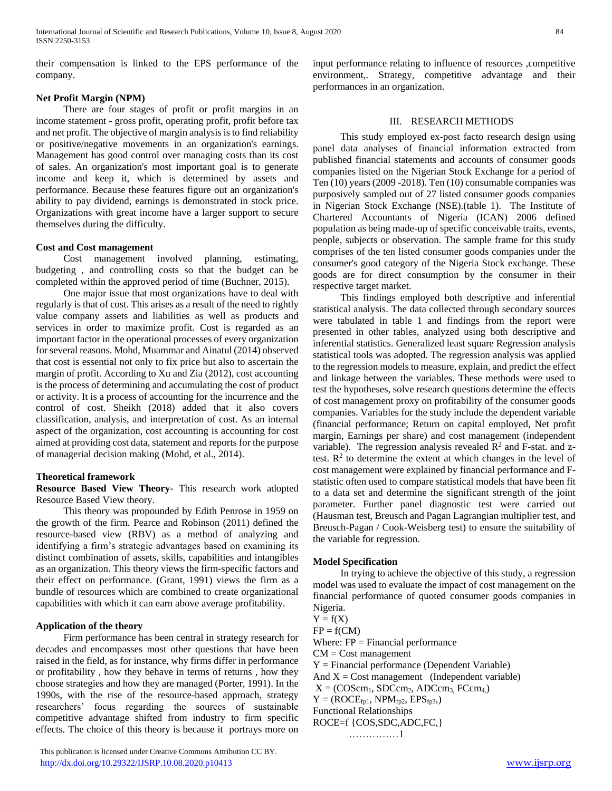their compensation is linked to the EPS performance of the company.

### **Net Profit Margin (NPM)**

 There are four stages of profit or profit margins in an income statement - gross profit, operating profit, profit before tax and net profit. The objective of margin analysis is to find reliability or positive/negative movements in an organization's earnings. Management has good control over managing costs than its cost of sales. An organization's most important goal is to generate income and keep it, which is determined by assets and performance. Because these features figure out an organization's ability to pay dividend, earnings is demonstrated in stock price. Organizations with great income have a larger support to secure themselves during the difficulty.

#### **Cost and Cost management**

 Cost management involved planning, estimating, budgeting , and controlling costs so that the budget can be completed within the approved period of time (Buchner, 2015).

 One major issue that most organizations have to deal with regularly is that of cost. This arises as a result of the need to rightly value company assets and liabilities as well as products and services in order to maximize profit. Cost is regarded as an important factor in the operational processes of every organization for several reasons. Mohd, Muammar and Ainatul (2014) observed that cost is essential not only to fix price but also to ascertain the margin of profit. According to Xu and Zia (2012), cost accounting is the process of determining and accumulating the cost of product or activity. It is a process of accounting for the incurrence and the control of cost. Sheikh (2018) added that it also covers classification, analysis, and interpretation of cost. As an internal aspect of the organization, cost accounting is accounting for cost aimed at providing cost data, statement and reports for the purpose of managerial decision making (Mohd, et al., 2014).

#### **Theoretical framework**

**Resource Based View Theory-** This research work adopted Resource Based View theory.

 This theory was propounded by Edith Penrose in 1959 on the growth of the firm. Pearce and Robinson (2011) defined the resource-based view (RBV) as a method of analyzing and identifying a firm's strategic advantages based on examining its distinct combination of assets, skills, capabilities and intangibles as an organization. This theory views the firm-specific factors and their effect on performance. (Grant, 1991) views the firm as a bundle of resources which are combined to create organizational capabilities with which it can earn above average profitability.

#### **Application of the theory**

 Firm performance has been central in strategy research for decades and encompasses most other questions that have been raised in the field, as for instance, why firms differ in performance or profitability , how they behave in terms of returns , how they choose strategies and how they are managed (Porter, 1991). In the 1990s, with the rise of the resource-based approach, strategy researchers' focus regarding the sources of sustainable competitive advantage shifted from industry to firm specific effects. The choice of this theory is because it portrays more on

 This publication is licensed under Creative Commons Attribution CC BY. <http://dx.doi.org/10.29322/IJSRP.10.08.2020.p10413> [www.ijsrp.org](http://ijsrp.org/)

input performance relating to influence of resources ,competitive environment,. Strategy, competitive advantage and their performances in an organization.

#### III. RESEARCH METHODS

 This study employed ex-post facto research design using panel data analyses of financial information extracted from published financial statements and accounts of consumer goods companies listed on the Nigerian Stock Exchange for a period of Ten (10) years (2009 -2018). Ten (10) consumable companies was purposively sampled out of 27 listed consumer goods companies in Nigerian Stock Exchange (NSE).(table 1). The Institute of Chartered Accountants of Nigeria (ICAN) 2006 defined population as being made-up of specific conceivable traits, events, people, subjects or observation. The sample frame for this study comprises of the ten listed consumer goods companies under the consumer's good category of the Nigeria Stock exchange. These goods are for direct consumption by the consumer in their respective target market.

 This findings employed both descriptive and inferential statistical analysis. The data collected through secondary sources were tabulated in table 1 and findings from the report were presented in other tables, analyzed using both descriptive and inferential statistics. Generalized least square Regression analysis statistical tools was adopted. The regression analysis was applied to the regression models to measure, explain, and predict the effect and linkage between the variables. These methods were used to test the hypotheses, solve research questions determine the effects of cost management proxy on profitability of the consumer goods companies. Variables for the study include the dependent variable (financial performance; Return on capital employed, Net profit margin, Earnings per share) and cost management (independent variable). The regression analysis revealed  $\mathbb{R}^2$  and F-stat. and ztest.  $\mathbb{R}^2$  to determine the extent at which changes in the level of cost management were explained by financial performance and Fstatistic often used to compare statistical models that have been fit to a data set and determine the significant strength of the joint parameter. Further panel diagnostic test were carried out (Hausman test, Breusch and Pagan Lagrangian multiplier test, and Breusch-Pagan / Cook-Weisberg test) to ensure the suitability of the variable for regression.

#### **Model Specification**

 In trying to achieve the objective of this study, a regression model was used to evaluate the impact of cost management on the financial performance of quoted consumer goods companies in Nigeria.

 $Y = f(X)$  $FP = f(CM)$ Where:  $FP = Financial performance$  $CM = Cost management$  $Y = Financial performance$  (Dependent Variable) And  $X = Cost management$  (Independent variable)  $X = (COScm_1, SDCcm_2, ADCcm_3, FCcm_4)$  $Y = (ROCE<sub>fol</sub>, NPM<sub>fp2</sub>, EPS<sub>fp3</sub>)$ Functional Relationships ROCE=f {COS,SDC,ADC,FC,}

```
……………1
```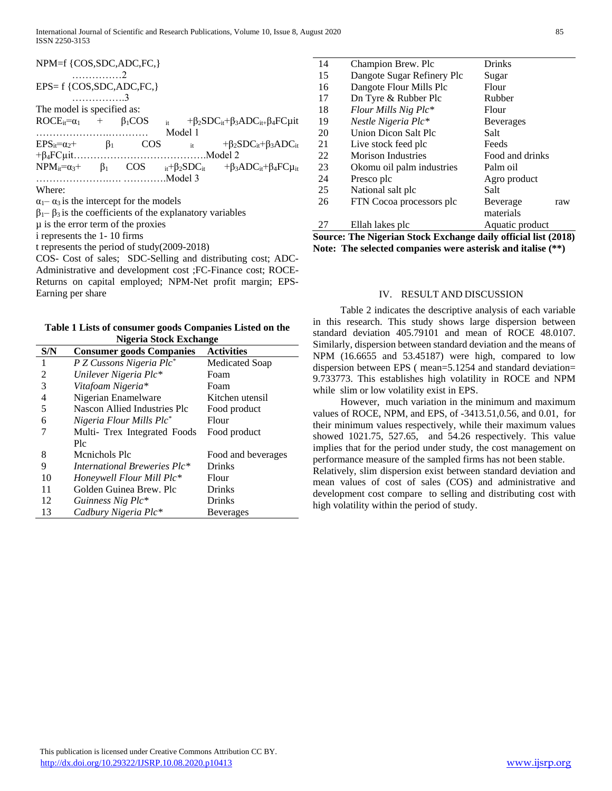| NPM=f {COS,SDC,ADC,FC,}              |                          |            |             |                                                                     |  |  |  |  |
|--------------------------------------|--------------------------|------------|-------------|---------------------------------------------------------------------|--|--|--|--|
|                                      | $\ldots \ldots \ldots 2$ |            |             |                                                                     |  |  |  |  |
| $EPS = f \{COS, SDC, ADC, FC\}$      |                          |            |             |                                                                     |  |  |  |  |
|                                      | . 3                      |            |             |                                                                     |  |  |  |  |
| The model is specified as:           |                          |            |             |                                                                     |  |  |  |  |
| $ROCE_{it} = \alpha_1 + \beta_1 COS$ |                          |            |             | $+\beta_2 SDC_{it}+\beta_3 ADC_{it} + \beta_4 FC_{lit}$             |  |  |  |  |
|                                      |                          |            | Model 1     |                                                                     |  |  |  |  |
| $EPS_{it}=\alpha_2+\alpha_3$         | $\beta_1$                | <b>COS</b> | $it$ $\sim$ | $+\beta_2 SDC_{it}+\beta_3 ADC_{it}$                                |  |  |  |  |
|                                      |                          |            |             |                                                                     |  |  |  |  |
| $NPM_{it}=\alpha_3+\beta_1$          |                          |            |             | $\cos$ $_{it}+\beta_2SDC_{it}$ $+\beta_3ADC_{it}+\beta_4FC\mu_{it}$ |  |  |  |  |
|                                      |                          | Model 3    |             |                                                                     |  |  |  |  |

Where:

 $\alpha_1$ –  $\alpha_3$  is the intercept for the models

 $β<sub>1</sub>– β<sub>3</sub>$  is the coefficients of the explanatory variables

µ is the error term of the proxies

i represents the 1- 10 firms

t represents the period of study(2009-2018)

COS- Cost of sales; SDC-Selling and distributing cost; ADC-Administrative and development cost ;FC-Finance cost; ROCE-Returns on capital employed; NPM-Net profit margin; EPS-Earning per share

**Table 1 Lists of consumer goods Companies Listed on the Nigeria Stock Exchange**

| S/N | <b>Consumer goods Companies</b>      | <b>Activities</b>  |
|-----|--------------------------------------|--------------------|
| 1   | P Z Cussons Nigeria Plc <sup>*</sup> | Medicated Soap     |
| 2   | Unilever Nigeria Plc*                | Foam               |
| 3   | Vitafoam Nigeria*                    | Foam               |
| 4   | Nigerian Enamelware                  | Kitchen utensil    |
| 5   | Nascon Allied Industries Plc         | Food product       |
| 6   | Nigeria Flour Mills Plc <sup>*</sup> | Flour              |
|     | Multi- Trex Integrated Foods         | Food product       |
|     | Plc                                  |                    |
| 8   | Menichols Plc                        | Food and beverages |
| 9   | International Breweries Plc*         | <b>Drinks</b>      |
| 10  | Honeywell Flour Mill Plc*            | Flour              |
| 11  | Golden Guinea Brew. Plc              | <b>Drinks</b>      |
| 12  | Guinness Nig Plc*                    | Drinks             |
| 13  | Cadbury Nigeria Plc*                 | <b>Beverages</b>   |

| 14 | Champion Brew. Plc         | <b>Drinks</b>    |
|----|----------------------------|------------------|
| 15 | Dangote Sugar Refinery Plc | Sugar            |
| 16 | Dangote Flour Mills Plc    | Flour            |
| 17 | Dn Tyre & Rubber Plc       | Rubber           |
| 18 | Flour Mills Nig Plc*       | Flour            |
| 19 | Nestle Nigeria Plc*        | <b>Beverages</b> |
| 20 | Union Dicon Salt Plc       | Salt             |
| 21 | Live stock feed plc        | Feeds            |
| 22 | Morison Industries         | Food and drinks  |
| 23 | Okomu oil palm industries  | Palm oil         |
| 24 | Presco plc                 | Agro product     |
| 25 | National salt plc          | Salt             |
| 26 | FTN Cocoa processors plc   | Beverage<br>raw  |
|    |                            | materials        |
| 27 | Ellah lakes plc            | Aquatic product  |
| ÷  |                            |                  |

**Source: The Nigerian Stock Exchange daily official list (2018) Note: The selected companies were asterisk and italise (\*\*)**

#### IV. RESULT AND DISCUSSION

 Table 2 indicates the descriptive analysis of each variable in this research. This study shows large dispersion between standard deviation 405.79101 and mean of ROCE 48.0107. Similarly, dispersion between standard deviation and the means of NPM (16.6655 and 53.45187) were high, compared to low dispersion between EPS ( mean=5.1254 and standard deviation= 9.733773. This establishes high volatility in ROCE and NPM while slim or low volatility exist in EPS.

 However, much variation in the minimum and maximum values of ROCE, NPM, and EPS, of -3413.51,0.56, and 0.01, for their minimum values respectively, while their maximum values showed 1021.75, 527.65, and 54.26 respectively. This value implies that for the period under study, the cost management on performance measure of the sampled firms has not been stable. Relatively, slim dispersion exist between standard deviation and mean values of cost of sales (COS) and administrative and development cost compare to selling and distributing cost with high volatility within the period of study.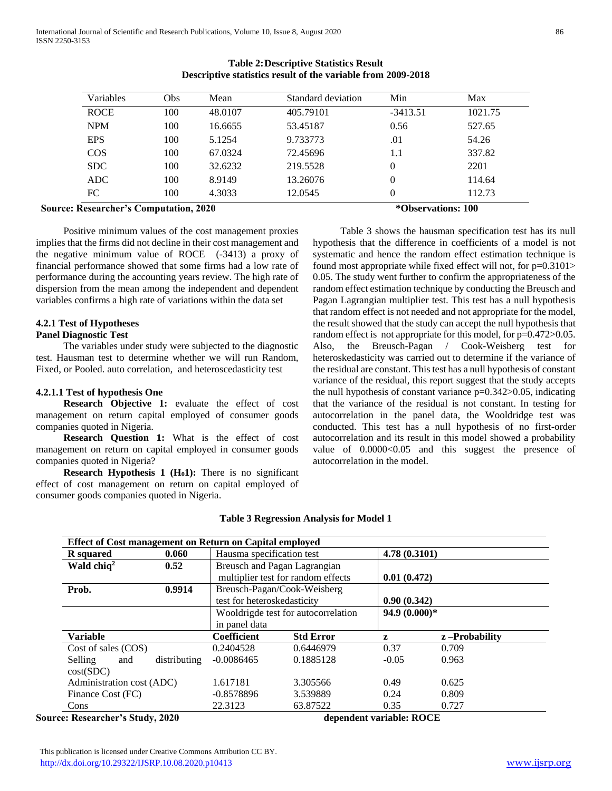| Variables   | Obs | Mean    | Standard deviation | Min        | Max     |
|-------------|-----|---------|--------------------|------------|---------|
| <b>ROCE</b> | 100 | 48.0107 | 405.79101          | $-3413.51$ | 1021.75 |
| <b>NPM</b>  | 100 | 16.6655 | 53.45187           | 0.56       | 527.65  |
| <b>EPS</b>  | 100 | 5.1254  | 9.733773           | .01        | 54.26   |
| <b>COS</b>  | 100 | 67.0324 | 72.45696           | 1.1        | 337.82  |
| <b>SDC</b>  | 100 | 32.6232 | 219.5528           | $\theta$   | 2201    |
| <b>ADC</b>  | 100 | 8.9149  | 13.26076           | 0          | 114.64  |
| FC          | 100 | 4.3033  | 12.0545            | 0          | 112.73  |

# **Table 2:Descriptive Statistics Result Descriptive statistics result of the variable from 2009-2018**

# **Source: Researcher's Computation, 2020 According to the Source: Researcher's Computation, 2020 According to the Source: 100**

 Positive minimum values of the cost management proxies implies that the firms did not decline in their cost management and the negative minimum value of ROCE (-3413) a proxy of financial performance showed that some firms had a low rate of performance during the accounting years review. The high rate of dispersion from the mean among the independent and dependent variables confirms a high rate of variations within the data set

# **4.2.1 Test of Hypotheses**

# **Panel Diagnostic Test**

 The variables under study were subjected to the diagnostic test. Hausman test to determine whether we will run Random, Fixed, or Pooled. auto correlation, and heteroscedasticity test

#### **4.2.1.1 Test of hypothesis One**

 **Research Objective 1:** evaluate the effect of cost management on return capital employed of consumer goods companies quoted in Nigeria.

 **Research Question 1:** What is the effect of cost management on return on capital employed in consumer goods companies quoted in Nigeria?

 **Research Hypothesis 1 (H01):** There is no significant effect of cost management on return on capital employed of consumer goods companies quoted in Nigeria.

 Table 3 shows the hausman specification test has its null hypothesis that the difference in coefficients of a model is not systematic and hence the random effect estimation technique is found most appropriate while fixed effect will not, for p=0.3101> 0.05. The study went further to confirm the appropriateness of the random effect estimation technique by conducting the Breusch and Pagan Lagrangian multiplier test. This test has a null hypothesis that random effect is not needed and not appropriate for the model, the result showed that the study can accept the null hypothesis that random effect is not appropriate for this model, for  $p=0.472>0.05$ . Also, the Breusch-Pagan / Cook-Weisberg test for heteroskedasticity was carried out to determine if the variance of the residual are constant. This test has a null hypothesis of constant variance of the residual, this report suggest that the study accepts the null hypothesis of constant variance  $p=0.342>0.05$ , indicating that the variance of the residual is not constant. In testing for autocorrelation in the panel data, the Wooldridge test was conducted. This test has a null hypothesis of no first-order autocorrelation and its result in this model showed a probability value of  $0.0000<0.05$  and this suggest the presence of autocorrelation in the model.

| Effect of Cost management on Return on Capital employed |              |                              |                                     |               |                  |  |  |  |
|---------------------------------------------------------|--------------|------------------------------|-------------------------------------|---------------|------------------|--|--|--|
| <b>R</b> squared                                        | 0.060        | Hausma specification test    |                                     |               | 4.78 (0.3101)    |  |  |  |
| Wald chiq <sup>2</sup>                                  | 0.52         | Breusch and Pagan Lagrangian |                                     |               |                  |  |  |  |
|                                                         |              |                              | multiplier test for random effects  |               | 0.01(0.472)      |  |  |  |
| Prob.                                                   | 0.9914       |                              | Breusch-Pagan/Cook-Weisberg         |               |                  |  |  |  |
|                                                         |              | test for heteroskedasticity  |                                     |               | 0.90(0.342)      |  |  |  |
|                                                         |              |                              | Wooldrigde test for autocorrelation | 94.9 (0.000)* |                  |  |  |  |
|                                                         |              | in panel data                |                                     |               |                  |  |  |  |
| <b>Variable</b>                                         |              | <b>Coefficient</b>           | <b>Std Error</b>                    | z             | $z$ -Probability |  |  |  |
| Cost of sales (COS)                                     |              | 0.2404528                    | 0.6446979                           | 0.37          | 0.709            |  |  |  |
| Selling<br>and                                          | distributing | $-0.0086465$                 | 0.1885128                           | $-0.05$       | 0.963            |  |  |  |
| cost(SDC)                                               |              |                              |                                     |               |                  |  |  |  |
| Administration cost (ADC)                               |              | 1.617181                     | 3.305566                            | 0.49          | 0.625            |  |  |  |
| Finance Cost (FC)                                       |              | $-0.8578896$                 | 3.539889                            | 0.24          | 0.809            |  |  |  |
| Cons                                                    |              | 22.3123                      | 63.87522                            | 0.35          | 0.727            |  |  |  |

#### **Table 3 Regression Analysis for Model 1**

**Source: Researcher's Study, 2020 dependent variable: ROCE**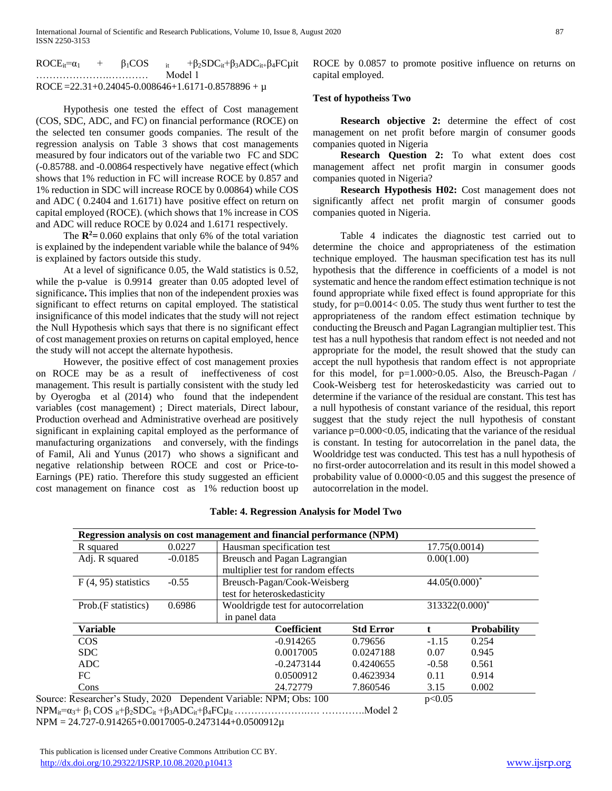| $ROCE_i = \alpha_1$ | $+$ | $\beta_1$ COS | $+\beta_2 SDC_{it}+\beta_3 ADC_{it} + \beta_4 FC_{it}$ |  |
|---------------------|-----|---------------|--------------------------------------------------------|--|
|                     |     |               | Model 1                                                |  |
|                     |     |               | ROCE=22.31+0.24045-0.008646+1.6171-0.8578896 + $\mu$   |  |

 Hypothesis one tested the effect of Cost management (COS, SDC, ADC, and FC) on financial performance (ROCE) on the selected ten consumer goods companies. The result of the regression analysis on Table 3 shows that cost managements measured by four indicators out of the variable two FC and SDC (-0.85788. and -0.00864 respectively have negative effect (which shows that 1% reduction in FC will increase ROCE by 0.857 and 1% reduction in SDC will increase ROCE by 0.00864) while COS and ADC ( 0.2404 and 1.6171) have positive effect on return on capital employed (ROCE). (which shows that 1% increase in COS and ADC will reduce ROCE by 0.024 and 1.6171 respectively.

The  $\mathbb{R}^2$ = 0.060 explains that only 6% of the total variation is explained by the independent variable while the balance of 94% is explained by factors outside this study.

 At a level of significance 0.05, the Wald statistics is 0.52, while the p-value is 0.9914 greater than 0.05 adopted level of significance**.** This implies that non of the independent proxies was significant to effect returns on capital employed. The statistical insignificance of this model indicates that the study will not reject the Null Hypothesis which says that there is no significant effect of cost management proxies on returns on capital employed, hence the study will not accept the alternate hypothesis.

 However, the positive effect of cost management proxies on ROCE may be as a result of ineffectiveness of cost management. This result is partially consistent with the study led by Oyerogba et al (2014) who found that the independent variables (cost management) ; Direct materials, Direct labour, Production overhead and Administrative overhead are positively significant in explaining capital employed as the performance of manufacturing organizations and conversely, with the findings of Famil, Ali and Yunus (2017) who shows a significant and negative relationship between ROCE and cost or Price-to-Earnings (PE) ratio. Therefore this study suggested an efficient cost management on finance cost as 1% reduction boost up ROCE by 0.0857 to promote positive influence on returns on capital employed.

#### **Test of hypotheiss Two**

 **Research objective 2:** determine the effect of cost management on net profit before margin of consumer goods companies quoted in Nigeria

 **Research Question 2:** To what extent does cost management affect net profit margin in consumer goods companies quoted in Nigeria?

 **Research Hypothesis H02:** Cost management does not significantly affect net profit margin of consumer goods companies quoted in Nigeria.

 Table 4 indicates the diagnostic test carried out to determine the choice and appropriateness of the estimation technique employed. The hausman specification test has its null hypothesis that the difference in coefficients of a model is not systematic and hence the random effect estimation technique is not found appropriate while fixed effect is found appropriate for this study, for p=0.0014< 0.05. The study thus went further to test the appropriateness of the random effect estimation technique by conducting the Breusch and Pagan Lagrangian multiplier test. This test has a null hypothesis that random effect is not needed and not appropriate for the model, the result showed that the study can accept the null hypothesis that random effect is not appropriate for this model, for p=1.000>0.05. Also, the Breusch-Pagan / Cook-Weisberg test for heteroskedasticity was carried out to determine if the variance of the residual are constant. This test has a null hypothesis of constant variance of the residual, this report suggest that the study reject the null hypothesis of constant variance p=0.000<0.05, indicating that the variance of the residual is constant. In testing for autocorrelation in the panel data, the Wooldridge test was conducted. This test has a null hypothesis of no first-order autocorrelation and its result in this model showed a probability value of 0.0000<0.05 and this suggest the presence of autocorrelation in the model.

|                                  |           | Regression analysis on cost management and financial performance (NPM) |                  |                  |                    |
|----------------------------------|-----------|------------------------------------------------------------------------|------------------|------------------|--------------------|
| R squared                        | 0.0227    | Hausman specification test                                             |                  | 17.75(0.0014)    |                    |
| Adj. R squared                   | $-0.0185$ | Breusch and Pagan Lagrangian                                           |                  | 0.00(1.00)       |                    |
|                                  |           | multiplier test for random effects                                     |                  |                  |                    |
| $F(4, 95)$ statistics            | $-0.55$   | Breusch-Pagan/Cook-Weisberg                                            |                  | $44.05(0.000)^*$ |                    |
|                                  |           | test for heteroskedasticity                                            |                  |                  |                    |
| Prob. (F statistics)             | 0.6986    | Wooldrigde test for autocorrelation                                    |                  | 313322(0.000)*   |                    |
|                                  |           | in panel data                                                          |                  |                  |                    |
| Variable                         |           | <b>Coefficient</b>                                                     | <b>Std Error</b> |                  | <b>Probability</b> |
| <b>COS</b>                       |           | $-0.914265$                                                            | 0.79656          | $-1.15$          | 0.254              |
| SDC.                             |           | 0.0017005                                                              | 0.0247188        | 0.07             | 0.945              |
| <b>ADC</b>                       |           | $-0.2473144$                                                           | 0.4240655        | $-0.58$          | 0.561              |
| FC.                              |           | 0.0500912                                                              | 0.4623934        | 0.11             | 0.914              |
| Cons                             |           | 24.72779                                                               | 7.860546         | 3.15             | 0.002              |
| Source: Researcher's Study, 2020 |           | Dependent Variable: NPM; Obs: 100                                      |                  | p<0.05           |                    |

#### **Table: 4. Regression Analysis for Model Two**

NPMit=α3+ β1 COS it+β2SDCit +β3ADCit+β4FCµit ………………….…. ………….Model 2

NPM = 24.727-0.914265+0.0017005-0.2473144+0.0500912µ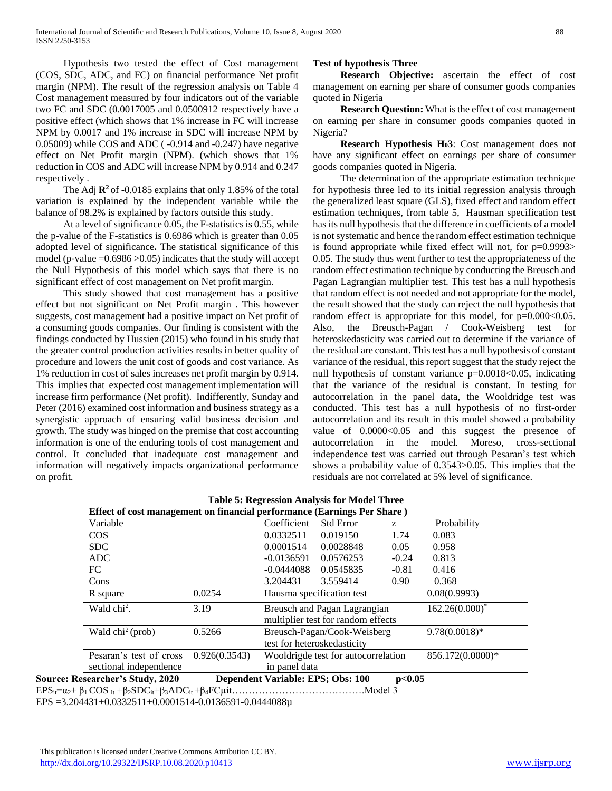Hypothesis two tested the effect of Cost management (COS, SDC, ADC, and FC) on financial performance Net profit margin (NPM). The result of the regression analysis on Table 4 Cost management measured by four indicators out of the variable two FC and SDC (0.0017005 and 0.0500912 respectively have a positive effect (which shows that 1% increase in FC will increase NPM by 0.0017 and 1% increase in SDC will increase NPM by 0.05009) while COS and ADC ( -0.914 and -0.247) have negative effect on Net Profit margin (NPM). (which shows that 1% reduction in COS and ADC will increase NPM by 0.914 and 0.247 respectively .

The Adj  $\mathbb{R}^2$  of -0.0185 explains that only 1.85% of the total variation is explained by the independent variable while the balance of 98.2% is explained by factors outside this study.

 At a level of significance 0.05, the F-statistics is 0.55, while the p-value of the F-statistics is 0.6986 which is greater than 0.05 adopted level of significance**.** The statistical significance of this model (p-value  $=0.6986 > 0.05$ ) indicates that the study will accept the Null Hypothesis of this model which says that there is no significant effect of cost management on Net profit margin.

 This study showed that cost management has a positive effect but not significant on Net Profit margin . This however suggests, cost management had a positive impact on Net profit of a consuming goods companies. Our finding is consistent with the findings conducted by Hussien (2015) who found in his study that the greater control production activities results in better quality of procedure and lowers the unit cost of goods and cost variance. As 1% reduction in cost of sales increases net profit margin by 0.914. This implies that expected cost management implementation will increase firm performance (Net profit). Indifferently, Sunday and Peter (2016) examined cost information and business strategy as a synergistic approach of ensuring valid business decision and growth. The study was hinged on the premise that cost accounting information is one of the enduring tools of cost management and control. It concluded that inadequate cost management and information will negatively impacts organizational performance on profit.

# **Test of hypothesis Three**

 **Research Objective:** ascertain the effect of cost management on earning per share of consumer goods companies quoted in Nigeria

 **Research Question:** What is the effect of cost management on earning per share in consumer goods companies quoted in Nigeria?

 **Research Hypothesis H03**: Cost management does not have any significant effect on earnings per share of consumer goods companies quoted in Nigeria.

 The determination of the appropriate estimation technique for hypothesis three led to its initial regression analysis through the generalized least square (GLS), fixed effect and random effect estimation techniques, from table 5, Hausman specification test has its null hypothesis that the difference in coefficients of a model is not systematic and hence the random effect estimation technique is found appropriate while fixed effect will not, for p=0.9993> 0.05. The study thus went further to test the appropriateness of the random effect estimation technique by conducting the Breusch and Pagan Lagrangian multiplier test. This test has a null hypothesis that random effect is not needed and not appropriate for the model, the result showed that the study can reject the null hypothesis that random effect is appropriate for this model, for  $p=0.000<0.05$ . Also, the Breusch-Pagan / Cook-Weisberg test for heteroskedasticity was carried out to determine if the variance of the residual are constant. This test has a null hypothesis of constant variance of the residual, this report suggest that the study reject the null hypothesis of constant variance p=0.0018<0.05, indicating that the variance of the residual is constant. In testing for autocorrelation in the panel data, the Wooldridge test was conducted. This test has a null hypothesis of no first-order autocorrelation and its result in this model showed a probability value of  $0.0000<0.05$  and this suggest the presence of autocorrelation in the model. Moreso, cross-sectional independence test was carried out through Pesaran's test which shows a probability value of 0.3543>0.05. This implies that the residuals are not correlated at 5% level of significance.

| Variable                                          |               | Coefficient   | <b>Std Error</b>                                                   | z       | Probability       |
|---------------------------------------------------|---------------|---------------|--------------------------------------------------------------------|---------|-------------------|
| $\cos$                                            |               | 0.0332511     | 0.019150                                                           | 1.74    | 0.083             |
| SDC.                                              |               | 0.0001514     | 0.0028848                                                          | 0.05    | 0.958             |
| ADC                                               |               | $-0.0136591$  | 0.0576253                                                          | $-0.24$ | 0.813             |
| FC                                                |               | $-0.0444088$  | 0.0545835                                                          | $-0.81$ | 0.416             |
| Cons                                              |               | 3.204431      | 3.559414                                                           | 0.90    | 0.368             |
| R square                                          | 0.0254        |               | Hausma specification test                                          |         | 0.08(0.9993)      |
| Wald chi <sup>2</sup> .                           | 3.19          |               | Breusch and Pagan Lagrangian<br>multiplier test for random effects |         | $162.26(0.000)^*$ |
| Wald $chi2$ (prob)                                | 0.5266        |               | Breusch-Pagan/Cook-Weisberg<br>test for heteroskedasticity         |         | $9.78(0.0018)*$   |
| Pesaran's test of cross<br>sectional independence | 0.926(0.3543) | in panel data | Wooldrigde test for autocorrelation                                |         | 856.172(0.0000)*  |

|  | <b>Table 5: Regression Analysis for Model Three</b>                     |  |  |
|--|-------------------------------------------------------------------------|--|--|
|  | $\overline{a}$ and $\overline{a}$ and $\overline{a}$ and $\overline{a}$ |  |  |

EPSit=α2+ β1 COS it +β2SDCit+β3ADCit +β4FCµit………………………………….Model 3 EPS =3.204431+0.0332511+0.0001514-0.0136591-0.0444088µ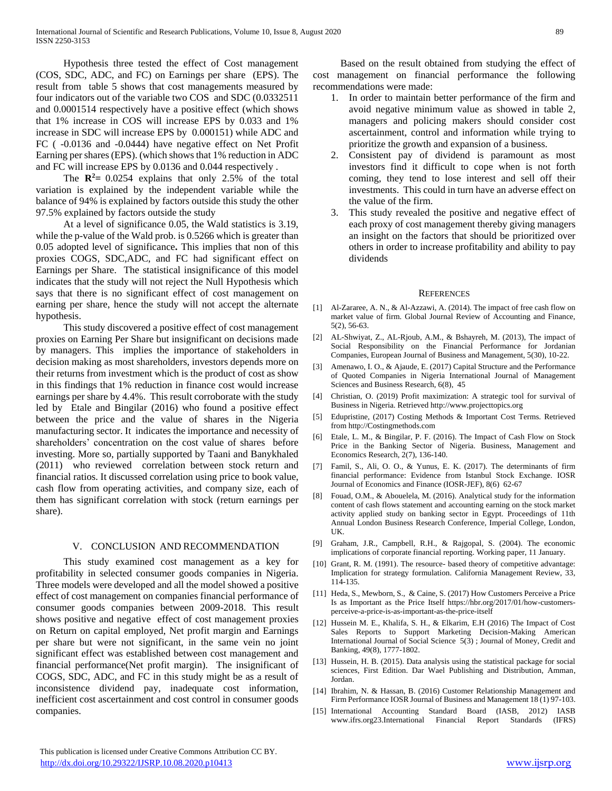Hypothesis three tested the effect of Cost management (COS, SDC, ADC, and FC) on Earnings per share (EPS). The result from table 5 shows that cost managements measured by four indicators out of the variable two COS and SDC (0.0332511 and 0.0001514 respectively have a positive effect (which shows that 1% increase in COS will increase EPS by 0.033 and 1% increase in SDC will increase EPS by 0.000151) while ADC and FC ( -0.0136 and -0.0444) have negative effect on Net Profit Earning per shares (EPS). (which shows that 1% reduction in ADC and FC will increase EPS by 0.0136 and 0.044 respectively .

The  $\mathbb{R}^2$ = 0.0254 explains that only 2.5% of the total variation is explained by the independent variable while the balance of 94% is explained by factors outside this study the other 97.5% explained by factors outside the study

 At a level of significance 0.05, the Wald statistics is 3.19, while the p-value of the Wald prob. is 0.5266 which is greater than 0.05 adopted level of significance**.** This implies that non of this proxies COGS, SDC,ADC, and FC had significant effect on Earnings per Share. The statistical insignificance of this model indicates that the study will not reject the Null Hypothesis which says that there is no significant effect of cost management on earning per share, hence the study will not accept the alternate hypothesis.

 This study discovered a positive effect of cost management proxies on Earning Per Share but insignificant on decisions made by managers. This implies the importance of stakeholders in decision making as most shareholders, investors depends more on their returns from investment which is the product of cost as show in this findings that 1% reduction in finance cost would increase earnings per share by 4.4%. This result corroborate with the study led by Etale and Bingilar (2016) who found a positive effect between the price and the value of shares in the Nigeria manufacturing sector. It indicates the importance and necessity of shareholders' concentration on the cost value of shares before investing. More so, partially supported by Taani and Banykhaled (2011) who reviewed correlation between stock return and financial ratios. It discussed correlation using price to book value, cash flow from operating activities, and company size, each of them has significant correlation with stock (return earnings per share).

#### V. CONCLUSION AND RECOMMENDATION

 This study examined cost management as a key for profitability in selected consumer goods companies in Nigeria. Three models were developed and all the model showed a positive effect of cost management on companies financial performance of consumer goods companies between 2009-2018. This result shows positive and negative effect of cost management proxies on Return on capital employed, Net profit margin and Earnings per share but were not significant, in the same vein no joint significant effect was established between cost management and financial performance(Net profit margin). The insignificant of COGS, SDC, ADC, and FC in this study might be as a result of inconsistence dividend pay, inadequate cost information, inefficient cost ascertainment and cost control in consumer goods companies.

 Based on the result obtained from studying the effect of cost management on financial performance the following recommendations were made:

- 1. In order to maintain better performance of the firm and avoid negative minimum value as showed in table 2, managers and policing makers should consider cost ascertainment, control and information while trying to prioritize the growth and expansion of a business.
- 2. Consistent pay of dividend is paramount as most investors find it difficult to cope when is not forth coming, they tend to lose interest and sell off their investments. This could in turn have an adverse effect on the value of the firm.
- 3. This study revealed the positive and negative effect of each proxy of cost management thereby giving managers an insight on the factors that should be prioritized over others in order to increase profitability and ability to pay dividends

#### **REFERENCES**

- [1] Al-Zararee, A. N., & Al-Azzawi, A. (2014). The impact of free cash flow on market value of firm. Global Journal Review of Accounting and Finance, 5(2), 56-63.
- [2] AL-Shwiyat, Z., AL-Rjoub, A.M., & Bshayreh, M. (2013), The impact of Social Responsibility on the Financial Performance for Jordanian Companies, European Journal of Business and Management, 5(30), 10-22.
- [3] Amenawo, I. O., & Ajaude, E. (2017) Capital Structure and the Performance of Quoted Companies in Nigeria International Journal of Management Sciences and Business Research, 6(8), 45
- [4] Christian, O. (2019) Profit maximization: A strategic tool for survival of Business in Nigeria. Retrieved http://www.projecttopics.org
- [5] Edupristine, (2017) Costing Methods & Important Cost Terms. Retrieved from http://Costingmethods.com
- [6] Etale, L. M., & Bingilar, P. F. (2016). The Impact of Cash Flow on Stock Price in the Banking Sector of Nigeria. Business, Management and Economics Research, 2(7), 136-140.
- [7] Famil, S., Ali, O. O., & Yunus, E. K. (2017). The determinants of firm financial performance: Evidence from Istanbul Stock Exchange. IOSR Journal of Economics and Finance (IOSR-JEF), 8(6) 62-67
- [8] Fouad, O.M., & Abouelela, M. (2016). Analytical study for the information content of cash flows statement and accounting earning on the stock market activity applied study on banking sector in Egypt. Proceedings of 11th Annual London Business Research Conference, Imperial College, London, UK.
- [9] Graham, J.R., Campbell, R.H., & Rajgopal, S. (2004). The economic implications of corporate financial reporting. Working paper, 11 January.
- [10] Grant, R. M. (1991). The resource- based theory of competitive advantage: Implication for strategy formulation. California Management Review, 33, 114-135.
- [11] Heda, S., Mewborn, S., & Caine, S. (2017) How Customers Perceive a Price Is as Important as the Price Itself https://hbr.org/2017/01/how-customersperceive-a-price-is-as-important-as-the-price-itself
- [12] Hussein M. E., Khalifa, S. H., & Elkarim, E.H (2016) The Impact of Cost Sales Reports to Support Marketing Decision-Making American International Journal of Social Science 5(3) ; Journal of Money, Credit and Banking, 49(8), 1777-1802.
- [13] Hussein, H. B. (2015). Data analysis using the statistical package for social sciences, First Edition. Dar Wael Publishing and Distribution, Amman, Jordan.
- [14] Ibrahim, N. & Hassan, B. (2016) Customer Relationship Management and Firm Performance IOSR Journal of Business and Management 18 (1) 97-103.
- [15] International Accounting Standard Board (IASB, 2012) IASB www.ifrs.org23.International Financial Report Standards (IFRS)